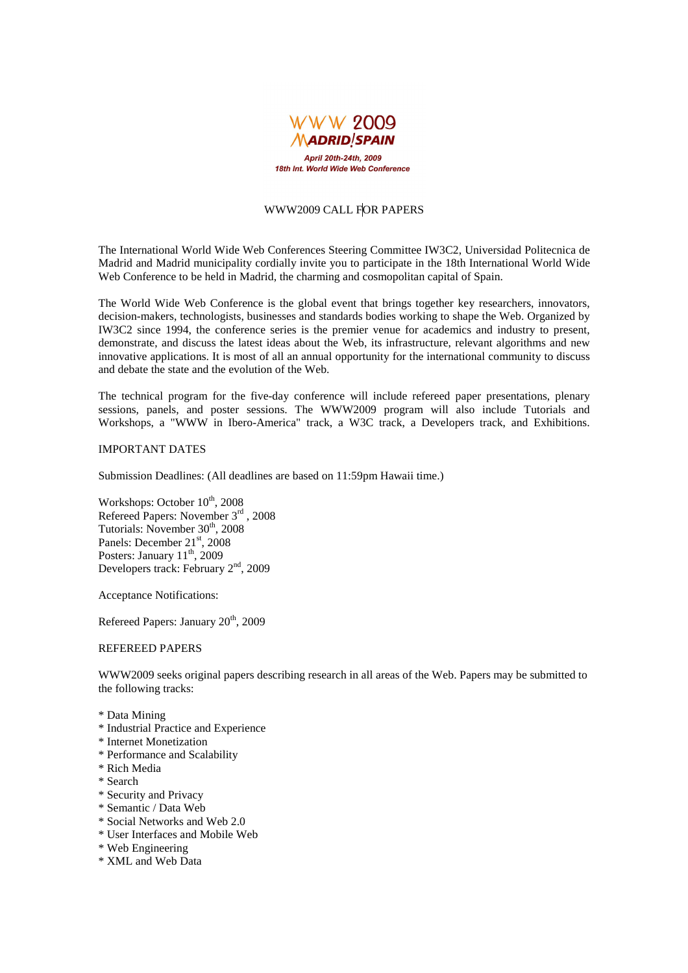

# WWW2009 CALL FOR PAPERS

The International World Wide Web Conferences Steering Committee IW3C2, Universidad Politecnica de Madrid and Madrid municipality cordially invite you to participate in the 18th International World Wide Web Conference to be held in Madrid, the charming and cosmopolitan capital of Spain.

The World Wide Web Conference is the global event that brings together key researchers, innovators, decision-makers, technologists, businesses and standards bodies working to shape the Web. Organized by IW3C2 since 1994, the conference series is the premier venue for academics and industry to present, demonstrate, and discuss the latest ideas about the Web, its infrastructure, relevant algorithms and new innovative applications. It is most of all an annual opportunity for the international community to discuss and debate the state and the evolution of the Web.

The technical program for the five-day conference will include refereed paper presentations, plenary sessions, panels, and poster sessions. The WWW2009 program will also include Tutorials and Workshops, a "WWW in Ibero-America" track, a W3C track, a Developers track, and Exhibitions.

# IMPORTANT DATES

Submission Deadlines: (All deadlines are based on 11:59pm Hawaii time.)

Workshops: October  $10^{th}$ , 2008 Refereed Papers: November 3rd , 2008 Tutorials: November  $30<sup>th</sup>$ , 2008 Panels: December 21<sup>st</sup>, 2008 Posters: January  $11^{th}$ , 2009 Developers track: February 2nd, 2009

Acceptance Notifications:

Refereed Papers: January 20<sup>th</sup>, 2009

#### REFEREED PAPERS

WWW2009 seeks original papers describing research in all areas of the Web. Papers may be submitted to the following tracks:

- \* Data Mining
- \* Industrial Practice and Experience
- \* Internet Monetization
- \* Performance and Scalability
- \* Rich Media
- \* Search
- \* Security and Privacy
- \* Semantic / Data Web
- \* Social Networks and Web 2.0
- \* User Interfaces and Mobile Web
- \* Web Engineering
- \* XML and Web Data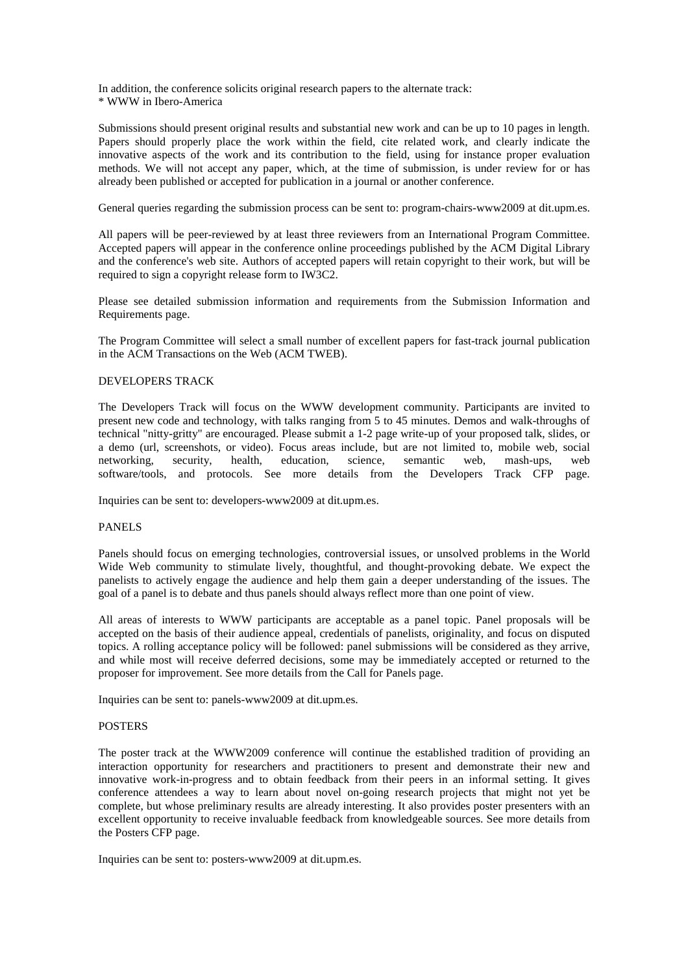In addition, the conference solicits original research papers to the alternate track: \* WWW in Ibero-America

Submissions should present original results and substantial new work and can be up to 10 pages in length. Papers should properly place the work within the field, cite related work, and clearly indicate the innovative aspects of the work and its contribution to the field, using for instance proper evaluation methods. We will not accept any paper, which, at the time of submission, is under review for or has already been published or accepted for publication in a journal or another conference.

General queries regarding the submission process can be sent to: program-chairs-www2009 at dit.upm.es.

All papers will be peer-reviewed by at least three reviewers from an International Program Committee. Accepted papers will appear in the conference online proceedings published by the ACM Digital Library and the conference's web site. Authors of accepted papers will retain copyright to their work, but will be required to sign a copyright release form to IW3C2.

Please see detailed submission information and requirements from the Submission Information and Requirements page.

The Program Committee will select a small number of excellent papers for fast-track journal publication in the ACM Transactions on the Web (ACM TWEB).

## DEVELOPERS TRACK

The Developers Track will focus on the WWW development community. Participants are invited to present new code and technology, with talks ranging from 5 to 45 minutes. Demos and walk-throughs of technical "nitty-gritty" are encouraged. Please submit a 1-2 page write-up of your proposed talk, slides, or a demo (url, screenshots, or video). Focus areas include, but are not limited to, mobile web, social networking, security, health, education, science, semantic web, mash-ups, web software/tools, and protocols. See more details from the Developers Track CFP page.

Inquiries can be sent to: developers-www2009 at dit.upm.es.

#### PANELS

Panels should focus on emerging technologies, controversial issues, or unsolved problems in the World Wide Web community to stimulate lively, thoughtful, and thought-provoking debate. We expect the panelists to actively engage the audience and help them gain a deeper understanding of the issues. The goal of a panel is to debate and thus panels should always reflect more than one point of view.

All areas of interests to WWW participants are acceptable as a panel topic. Panel proposals will be accepted on the basis of their audience appeal, credentials of panelists, originality, and focus on disputed topics. A rolling acceptance policy will be followed: panel submissions will be considered as they arrive, and while most will receive deferred decisions, some may be immediately accepted or returned to the proposer for improvement. See more details from the Call for Panels page.

Inquiries can be sent to: panels-www2009 at dit.upm.es.

### POSTERS

The poster track at the WWW2009 conference will continue the established tradition of providing an interaction opportunity for researchers and practitioners to present and demonstrate their new and innovative work-in-progress and to obtain feedback from their peers in an informal setting. It gives conference attendees a way to learn about novel on-going research projects that might not yet be complete, but whose preliminary results are already interesting. It also provides poster presenters with an excellent opportunity to receive invaluable feedback from knowledgeable sources. See more details from the Posters CFP page.

Inquiries can be sent to: posters-www2009 at dit.upm.es.